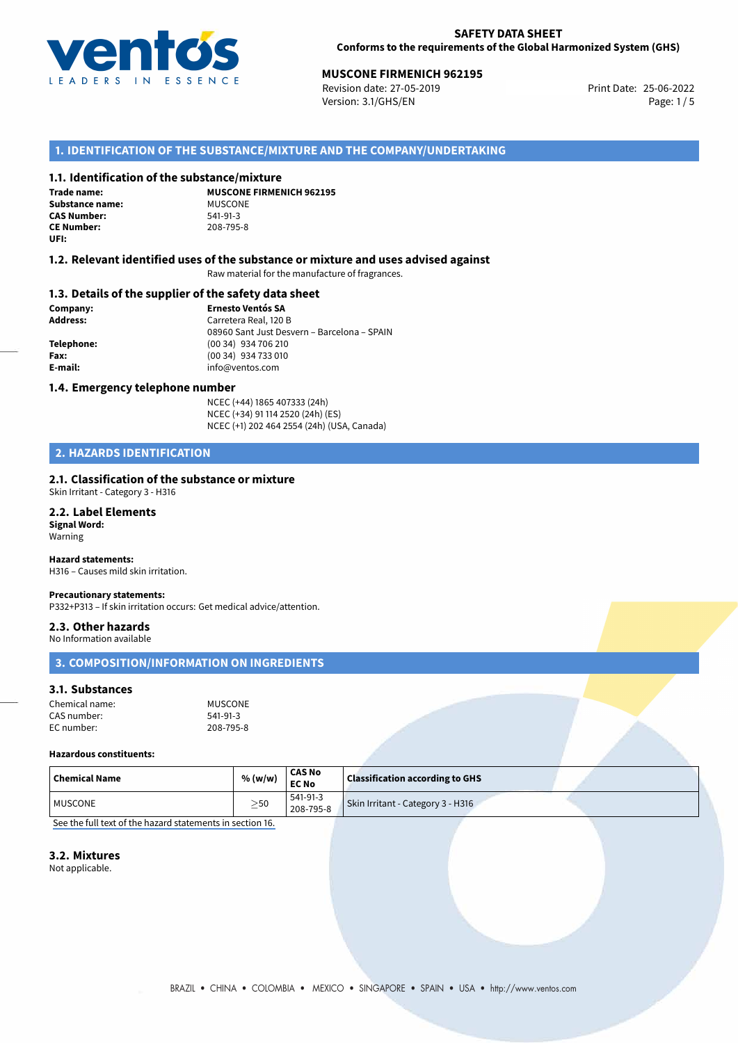

#### **SAFETY DATA SHEET Conforms to the requirements of the Global Harmonized System (GHS)**

## **MUSCONE FIRMENICH 962195**<br>
Revision date: 27-05-2019<br> **Print Date: 25-06-2022**

Revision date: 27-05-2019 Version: 3.1/GHS/EN Page: 1 / 5

### **1. IDENTIFICATION OF THE SUBSTANCE/MIXTURE AND THE COMPANY/UNDERTAKING**

#### **1.1. Identification of the substance/mixture**

**Trade name: Substance name:** MUSCONE<br> **CAS Number:** 541-91-3 **CAS Number: CE Number:** 208-795-8 **UFI:**

**MUSCONE FIRMENICH 962195**

#### **1.2. Relevant identified uses of the substance or mixture and uses advised against**

Raw material for the manufacture of fragrances.

#### **1.3. Details of the supplier of the safety data sheet**

**Company: Ernesto Ventós SA Address:** Carretera Real, 120 B 08960 Sant Just Desvern – Barcelona – SPAIN **Telephone:** (00 34) 934 706 210 **Fax:** (00 34) 934 733 010 **E-mail:** info@ventos.com

#### **1.4. Emergency telephone number**

NCEC (+44) 1865 407333 (24h) NCEC (+34) 91 114 2520 (24h) (ES) NCEC (+1) 202 464 2554 (24h) (USA, Canada)

### **2. HAZARDS IDENTIFICATION**

## **2.1. Classification of the substance or mixture**

Skin Irritant - Category 3 - H316

#### **2.2. Label Elements Signal Word:**

Warning

## **Hazard statements:**

H316 – Causes mild skin irritation.

#### **Precautionary statements:**

P332+P313 – If skin irritation occurs: Get medical advice/attention.

#### **2.3. Other hazards**

No Information available

## **3. COMPOSITION/INFORMATION ON INGREDIENTS**

### **3.1. Substances**

| Chemical name: | <b>MUSCONE</b> |
|----------------|----------------|
| CAS number:    | 541-91-3       |
| EC number:     | 208-795-8      |

#### **Hazardous constituents:**

| Chemical Name | % (w/w)     | <b>CAS No</b><br><b>EC No</b> | <b>Classification according to GHS</b> |
|---------------|-------------|-------------------------------|----------------------------------------|
| l MUSCONE     | $>$ 50<br>- | 541-91-3<br>208-795-8         | Skin Irritant - Category 3 - H316      |

[See the full text of the hazard statements in section 16.](#page--1-0)

#### **3.2. Mixtures**

Not applicable.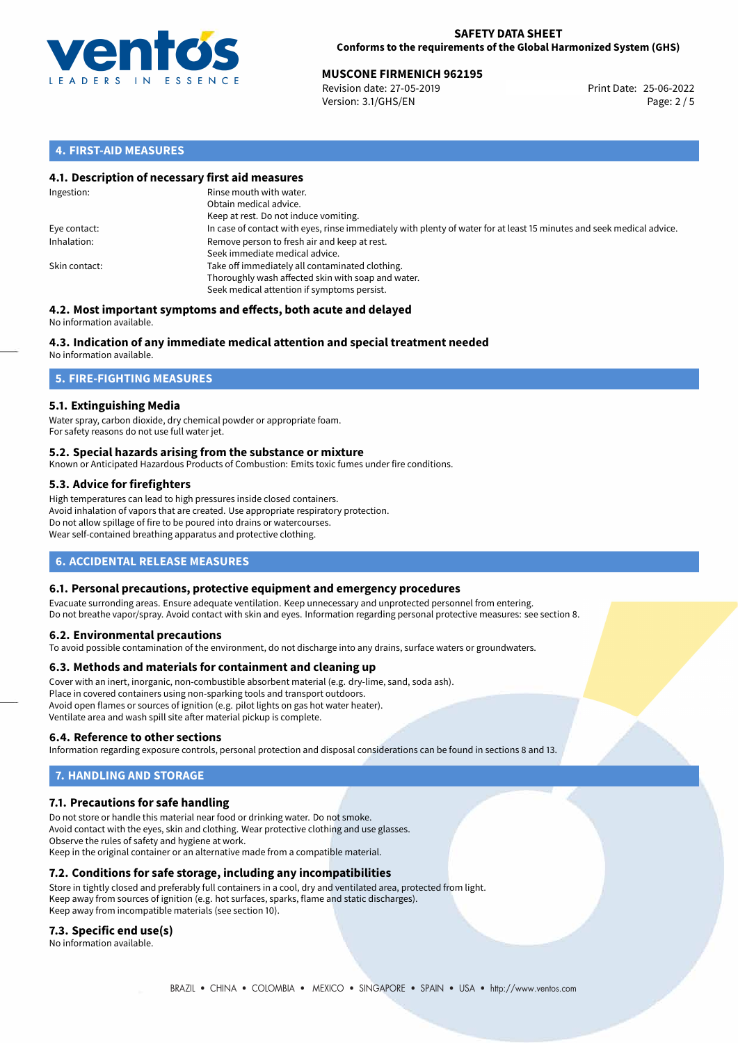

#### **SAFETY DATA SHEET Conforms to the requirements of the Global Harmonized System (GHS)**

## **MUSCONE FIRMENICH 962195**<br> **25-06-2022** Print Date: 25-06-2022<br> **25-06-2022** Print Date: 25-06-2022

Revision date: 27-05-2019 Version: 3.1/GHS/EN Page: 2 / 5

### **4. FIRST-AID MEASURES**

#### **4.1. Description of necessary first aid measures**

| Ingestion:    | Rinse mouth with water.<br>Obtain medical advice.<br>Keep at rest. Do not induce vomiting.                                                           |
|---------------|------------------------------------------------------------------------------------------------------------------------------------------------------|
| Eye contact:  | In case of contact with eyes, rinse immediately with plenty of water for at least 15 minutes and seek medical advice.                                |
| Inhalation:   | Remove person to fresh air and keep at rest.<br>Seek immediate medical advice.                                                                       |
| Skin contact: | Take off immediately all contaminated clothing.<br>Thoroughly wash affected skin with soap and water.<br>Seek medical attention if symptoms persist. |

#### **4.2. Most important symptoms and effects, both acute and delayed** No information available.

## **4.3. Indication of any immediate medical attention and special treatment needed**

No information available.

## **5. FIRE-FIGHTING MEASURES**

#### **5.1. Extinguishing Media**

Water spray, carbon dioxide, dry chemical powder or appropriate foam. For safety reasons do not use full water jet.

#### **5.2. Special hazards arising from the substance or mixture**

Known or Anticipated Hazardous Products of Combustion: Emits toxic fumes under fire conditions.

#### **5.3. Advice for firefighters**

High temperatures can lead to high pressures inside closed containers. Avoid inhalation of vapors that are created. Use appropriate respiratory protection. Do not allow spillage of fire to be poured into drains or watercourses. Wear self-contained breathing apparatus and protective clothing.

### **6. ACCIDENTAL RELEASE MEASURES**

#### **6.1. Personal precautions, protective equipment and emergency procedures**

Evacuate surronding areas. Ensure adequate ventilation. Keep unnecessary and unprotected personnel from entering. Do not breathe vapor/spray. Avoid contact with skin and eyes. Information regarding personal protective measures: see section 8.

#### **6.2. Environmental precautions**

To avoid possible contamination of the environment, do not discharge into any drains, surface waters or groundwaters.

#### **6.3. Methods and materials for containment and cleaning up**

Cover with an inert, inorganic, non-combustible absorbent material (e.g. dry-lime, sand, soda ash). Place in covered containers using non-sparking tools and transport outdoors. Avoid open flames or sources of ignition (e.g. pilot lights on gas hot water heater). Ventilate area and wash spill site after material pickup is complete.

#### **6.4. Reference to other sections**

Information regarding exposure controls, personal protection and disposal considerations can be found in sections 8 and 13.

## **7. HANDLING AND STORAGE**

#### **7.1. Precautions for safe handling**

Do not store or handle this material near food or drinking water. Do not smoke. Avoid contact with the eyes, skin and clothing. Wear protective clothing and use glasses. Observe the rules of safety and hygiene at work. Keep in the original container or an alternative made from a compatible material.

#### **7.2. Conditions for safe storage, including any incompatibilities**

Store in tightly closed and preferably full containers in a cool, dry and ventilated area, protected from light. Keep away from sources of ignition (e.g. hot surfaces, sparks, flame and static discharges). Keep away from incompatible materials (see section 10).

#### **7.3. Specific end use(s)**

No information available.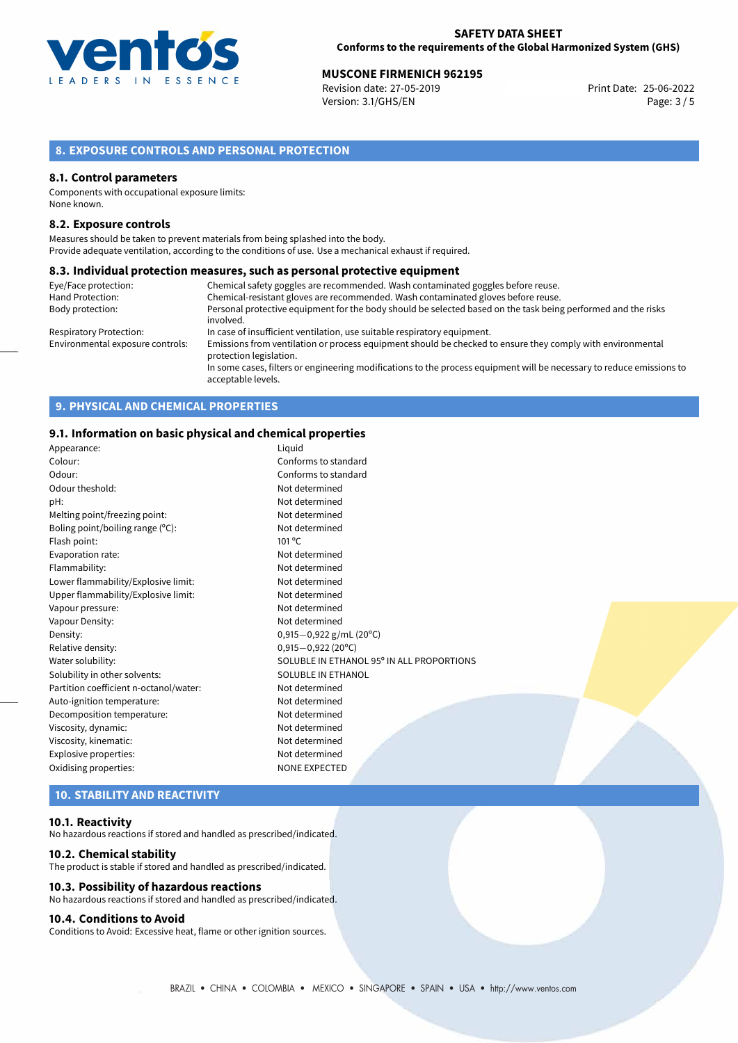

# **MUSCONE FIRMENICH 962195**<br>
Revision date: 27-05-2019<br> **Print Date: 25-06-2022**

Revision date: 27-05-2019 Version: 3.1/GHS/EN Page: 3 / 5

## **8. EXPOSURE CONTROLS AND PERSONAL PROTECTION**

#### **8.1. Control parameters**

Components with occupational exposure limits: None known.

#### **8.2. Exposure controls**

Measures should be taken to prevent materials from being splashed into the body. Provide adequate ventilation, according to the conditions of use. Use a mechanical exhaust if required.

#### **8.3. Individual protection measures, such as personal protective equipment**

| Eye/Face protection:             | Chemical safety goggles are recommended. Wash contaminated goggles before reuse.                                                            |
|----------------------------------|---------------------------------------------------------------------------------------------------------------------------------------------|
| Hand Protection:                 | Chemical-resistant gloves are recommended. Wash contaminated gloves before reuse.                                                           |
| Body protection:                 | Personal protective equipment for the body should be selected based on the task being performed and the risks                               |
|                                  | involved.                                                                                                                                   |
| Respiratory Protection:          | In case of insufficient ventilation, use suitable respiratory equipment.                                                                    |
| Environmental exposure controls: | Emissions from ventilation or process equipment should be checked to ensure they comply with environmental<br>protection legislation.       |
|                                  | In some cases, filters or engineering modifications to the process equipment will be necessary to reduce emissions to<br>acceptable levels. |

## **9. PHYSICAL AND CHEMICAL PROPERTIES**

#### **9.1. Information on basic physical and chemical properties**

| Appearance:                            | Liquid                                    |
|----------------------------------------|-------------------------------------------|
| Colour:                                | Conforms to standard                      |
| Odour:                                 | Conforms to standard                      |
| Odour theshold:                        | Not determined                            |
| pH:                                    | Not determined                            |
| Melting point/freezing point:          | Not determined                            |
| Boling point/boiling range (°C):       | Not determined                            |
| Flash point:                           | $101^{\circ}$ C                           |
| Evaporation rate:                      | Not determined                            |
| Flammability:                          | Not determined                            |
| Lower flammability/Explosive limit:    | Not determined                            |
| Upper flammability/Explosive limit:    | Not determined                            |
| Vapour pressure:                       | Not determined                            |
| Vapour Density:                        | Not determined                            |
| Density:                               | $0,915-0,922$ g/mL (20°C)                 |
| Relative density:                      | $0,915 - 0,922$ (20°C)                    |
| Water solubility:                      | SOLUBLE IN ETHANOL 95° IN ALL PROPORTIONS |
| Solubility in other solvents:          | SOLUBLE IN ETHANOL                        |
| Partition coefficient n-octanol/water: | Not determined                            |
| Auto-ignition temperature:             | Not determined                            |
| Decomposition temperature:             | Not determined                            |
| Viscosity, dynamic:                    | Not determined                            |
| Viscosity, kinematic:                  | Not determined                            |
| Explosive properties:                  | Not determined                            |
| Oxidising properties:                  | <b>NONE EXPECTED</b>                      |
|                                        |                                           |

## **10. STABILITY AND REACTIVITY**

#### **10.1. Reactivity**

No hazardous reactions if stored and handled as prescribed/indicated.

#### **10.2. Chemical stability**

The product is stable if stored and handled as prescribed/indicated.

#### **10.3. Possibility of hazardous reactions**

No hazardous reactions if stored and handled as prescribed/indicated.

#### **10.4. Conditions to Avoid**

Conditions to Avoid: Excessive heat, flame or other ignition sources.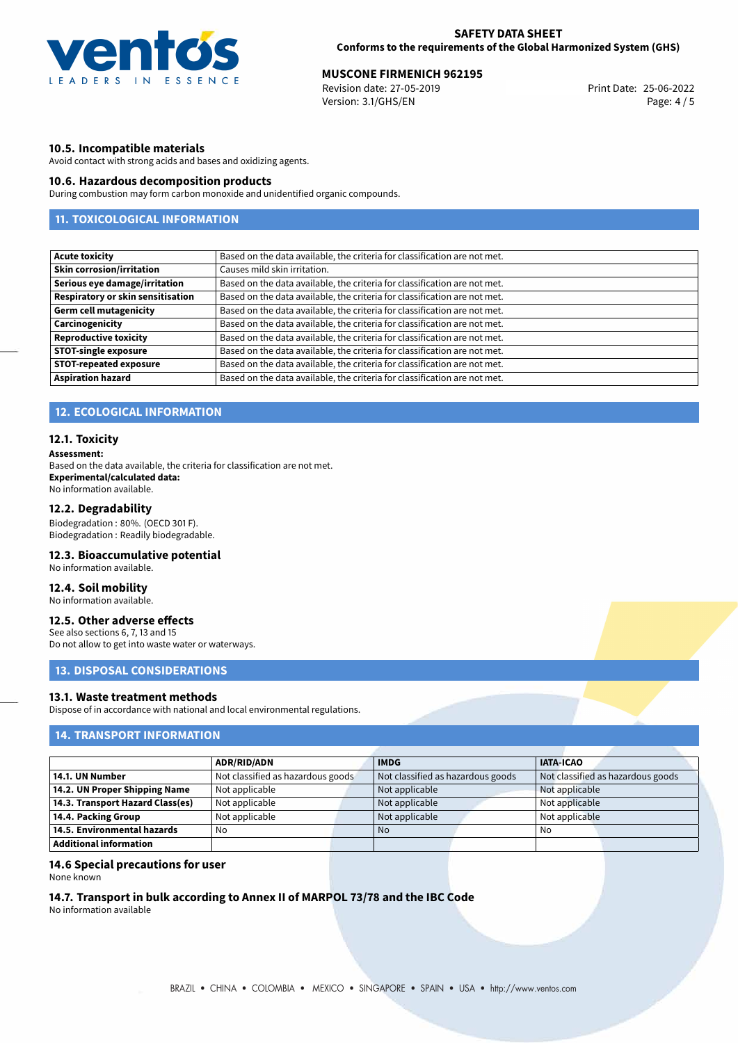

## **MUSCONE FIRMENICH 962195**<br>
Revision date: 27-05-2019<br> **Print Date: 25-06-2022**

Revision date: 27-05-2019 Version: 3.1/GHS/EN Page: 4 / 5

#### **10.5. Incompatible materials**

Avoid contact with strong acids and bases and oxidizing agents.

#### **10.6. Hazardous decomposition products**

During combustion may form carbon monoxide and unidentified organic compounds.

### **11. TOXICOLOGICAL INFORMATION**

| Based on the data available, the criteria for classification are not met. |
|---------------------------------------------------------------------------|
|                                                                           |
| Causes mild skin irritation.                                              |
| Based on the data available, the criteria for classification are not met. |
| Based on the data available, the criteria for classification are not met. |
| Based on the data available, the criteria for classification are not met. |
| Based on the data available, the criteria for classification are not met. |
| Based on the data available, the criteria for classification are not met. |
| Based on the data available, the criteria for classification are not met. |
| Based on the data available, the criteria for classification are not met. |
| Based on the data available, the criteria for classification are not met. |
|                                                                           |

## **12. ECOLOGICAL INFORMATION**

#### **12.1. Toxicity**

#### **Assessment:**

Based on the data available, the criteria for classification are not met. **Experimental/calculated data:** No information available.

#### **12.2. Degradability**

Biodegradation : 80%. (OECD 301 F). Biodegradation : Readily biodegradable.

#### **12.3. Bioaccumulative potential**

No information available.

#### **12.4. Soil mobility**

No information available.

## **12.5. Other adverse effects**

See also sections 6, 7, 13 and 15 Do not allow to get into waste water or waterways.

### **13. DISPOSAL CONSIDERATIONS**

#### **13.1. Waste treatment methods**

Dispose of in accordance with national and local environmental regulations.

#### **14. TRANSPORT INFORMATION**

|                                  | ADR/RID/ADN                       |  | <b>IMDG</b>                       |  | <b>IATA-ICAO</b>                  |  |
|----------------------------------|-----------------------------------|--|-----------------------------------|--|-----------------------------------|--|
| 14.1. UN Number                  | Not classified as hazardous goods |  | Not classified as hazardous goods |  | Not classified as hazardous goods |  |
| 14.2. UN Proper Shipping Name    | Not applicable                    |  | Not applicable                    |  | Not applicable                    |  |
| 14.3. Transport Hazard Class(es) | Not applicable                    |  | Not applicable                    |  | Not applicable                    |  |
| 14.4. Packing Group              | Not applicable                    |  | Not applicable                    |  | Not applicable                    |  |
| 14.5. Environmental hazards      | No                                |  | <b>No</b>                         |  | No                                |  |
| <b>Additional information</b>    |                                   |  |                                   |  |                                   |  |

#### **14.6 Special precautions for user**

None known

**14.7. Transport in bulk according to Annex II of MARPOL 73/78 and the IBC Code** No information available